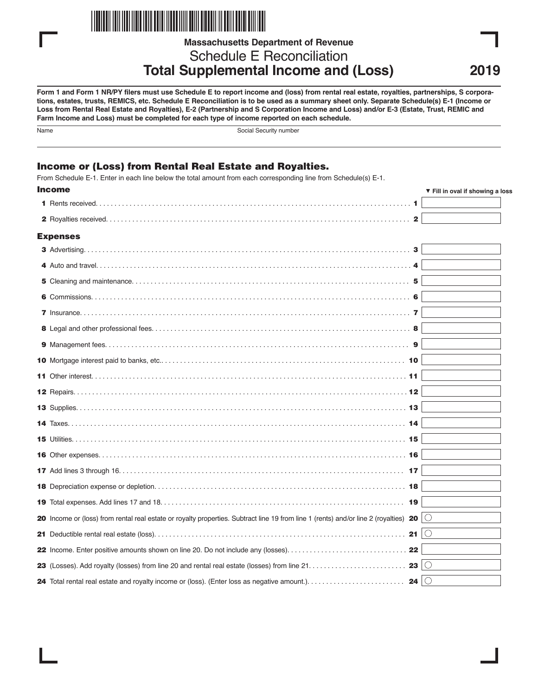

**Massachusetts Department of Revenue**

Schedule E Reconciliation **Total Supplemental Income and (Loss)**

**Form 1 and Form 1 NR/PY filers must use Schedule E to report income and (loss) from rental real estate, royalties, partnerships, S corporations, estates, trusts, REMICS, etc. Schedule E Reconciliation is to be used as a summary sheet only. Separate Schedule(s) E-1 (Income or Loss from Rental Real Estate and Royalties), E-2 (Partnership and S Corporation Income and Loss) and/or E-3 (Estate, Trust, REMIC and Farm Income and Loss) must be completed for each type of income reported on each schedule.**

| ×<br>×<br>I<br>P.<br>. . |
|--------------------------|
|                          |

Social Security number

# Income or (Loss) from Rental Real Estate and Royalties.

From Schedule E-1. Enter in each line below the total amount from each corresponding line from Schedule(s) E-1.

| <b>Income</b>                                                                                                                                    | ▼ Fill in oval if showing a loss |
|--------------------------------------------------------------------------------------------------------------------------------------------------|----------------------------------|
|                                                                                                                                                  |                                  |
| $\mathbf{2}$                                                                                                                                     |                                  |
| <b>Expenses</b>                                                                                                                                  |                                  |
| 3                                                                                                                                                |                                  |
|                                                                                                                                                  |                                  |
|                                                                                                                                                  |                                  |
|                                                                                                                                                  |                                  |
|                                                                                                                                                  |                                  |
|                                                                                                                                                  |                                  |
|                                                                                                                                                  |                                  |
|                                                                                                                                                  |                                  |
|                                                                                                                                                  |                                  |
|                                                                                                                                                  |                                  |
|                                                                                                                                                  |                                  |
|                                                                                                                                                  |                                  |
|                                                                                                                                                  |                                  |
|                                                                                                                                                  |                                  |
|                                                                                                                                                  |                                  |
|                                                                                                                                                  |                                  |
|                                                                                                                                                  |                                  |
| 20 Income or (loss) from rental real estate or royalty properties. Subtract line 19 from line 1 (rents) and/or line 2 (royalties) 20 $ \bigcirc$ |                                  |
|                                                                                                                                                  |                                  |
|                                                                                                                                                  |                                  |
| 23 $\circ$                                                                                                                                       |                                  |
| 24 $\circ$                                                                                                                                       |                                  |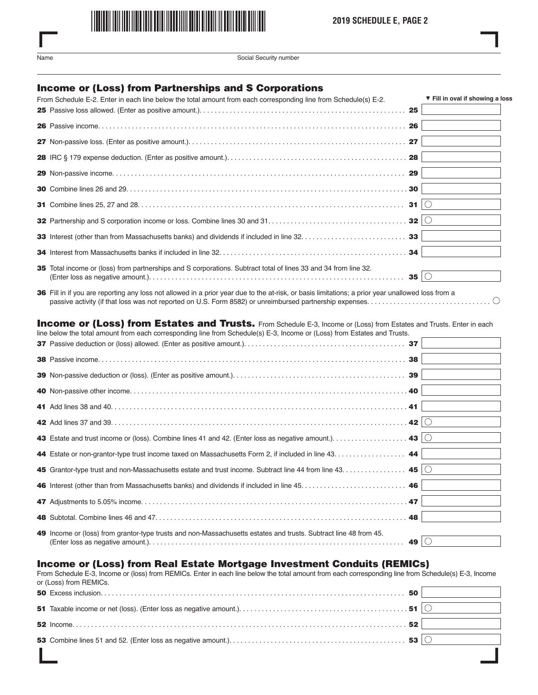

Name Social Security number

## Income or (Loss) from Partnerships and S Corporations

| From Schedule E-2. Enter in each line below the total amount from each corresponding line from Schedule(s) E-2. | ▼ Fill in oval if showing a loss |
|-----------------------------------------------------------------------------------------------------------------|----------------------------------|
|                                                                                                                 |                                  |
|                                                                                                                 |                                  |
|                                                                                                                 |                                  |
|                                                                                                                 |                                  |
|                                                                                                                 |                                  |
|                                                                                                                 |                                  |
|                                                                                                                 |                                  |
|                                                                                                                 |                                  |
|                                                                                                                 |                                  |
|                                                                                                                 |                                  |
| 35 Total income or (loss) from partnerships and S corporations. Subtract total of lines 33 and 34 from line 32. |                                  |

36 Fill in if you are reporting any loss not allowed in a prior year due to the at-risk, or basis limitations; a prior year unallowed loss from a passive activity (if that loss was not reported on U.S. Form 8582) or unreimbursed partnership expenses. . . . . . . . . . . . . . . . . . . . . . . . . . . . . . . . .

#### Income or (Loss) from Estates and Trusts. From Schedule E-3, Income or (Loss) from Estates and Trusts. Enter in each line below the total amount from each corresponding line from Schedule(s) E-3, Income or (Loss) from Estates and Trusts.

| bolon allo total amount from outri-ourlooponaing line from ourloudle(e) $\sqsubset$ of friodrite or ( $\sqsubset$ 000) from $\sqsubset$ 014100 and fraoto. |            |  |
|------------------------------------------------------------------------------------------------------------------------------------------------------------|------------|--|
|                                                                                                                                                            |            |  |
|                                                                                                                                                            |            |  |
|                                                                                                                                                            |            |  |
|                                                                                                                                                            |            |  |
|                                                                                                                                                            |            |  |
|                                                                                                                                                            |            |  |
| 44 Estate or non-grantor-type trust income taxed on Massachusetts Form 2, if included in line 43. 44                                                       |            |  |
| 45 Grantor-type trust and non-Massachusetts estate and trust income. Subtract line 44 from line 43. 45 $\circ$                                             |            |  |
|                                                                                                                                                            |            |  |
|                                                                                                                                                            |            |  |
|                                                                                                                                                            |            |  |
| 49 Income or (loss) from grantor-type trusts and non-Massachusetts estates and trusts. Subtract line 48 from 45.                                           | 49 $\circ$ |  |

## Income or (Loss) from Real Estate Mortgage Investment Conduits (REMICs)

From Schedule E-3, Income or (loss) from REMICs. Enter in each line below the total amount from each corresponding line from Schedule(s) E-3, Income or (Loss) from REMICs.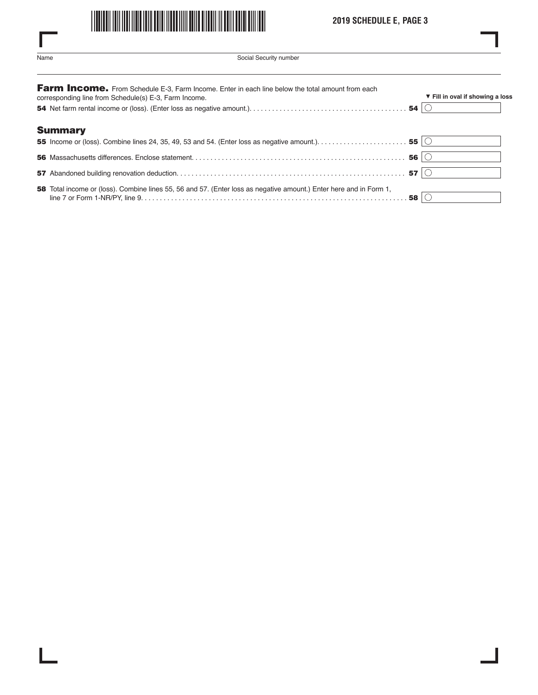

# **2019 SCHEDULE E, PAGE 3**

L

| .<br>× | ×<br>۰. |
|--------|---------|

ı

 $\overline{\phantom{a}}$ 

Social Security number

| Farm Income. From Schedule E-3, Farm Income. Enter in each line below the total amount from each<br>corresponding line from Schedule(s) E-3, Farm Income. | ▼ Fill in oval if showing a loss |
|-----------------------------------------------------------------------------------------------------------------------------------------------------------|----------------------------------|
|                                                                                                                                                           |                                  |
| <b>Summary</b>                                                                                                                                            |                                  |
|                                                                                                                                                           |                                  |
|                                                                                                                                                           |                                  |
|                                                                                                                                                           |                                  |
| <b>58</b> Total income or (loss). Combine lines 55, 56 and 57. (Enter loss as negative amount.) Enter here and in Form 1,                                 |                                  |